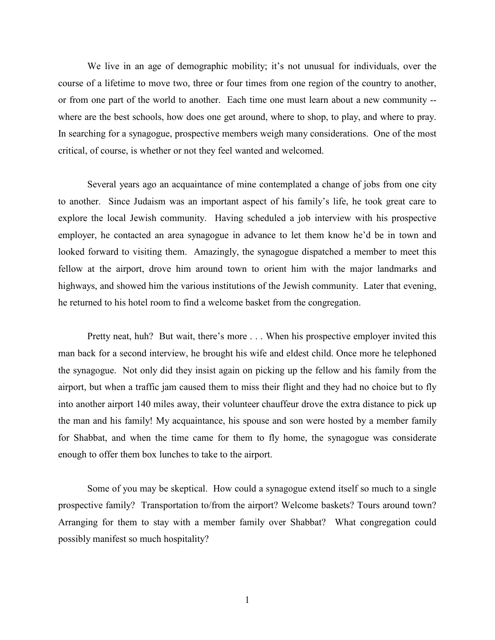We live in an age of demographic mobility; it's not unusual for individuals, over the course of a lifetime to move two, three or four times from one region of the country to another, or from one part of the world to another. Each time one must learn about a new community - where are the best schools, how does one get around, where to shop, to play, and where to pray. In searching for a synagogue, prospective members weigh many considerations. One of the most critical, of course, is whether or not they feel wanted and welcomed.

Several years ago an acquaintance of mine contemplated a change of jobs from one city to another. Since Judaism was an important aspect of his family's life, he took great care to explore the local Jewish community. Having scheduled a job interview with his prospective employer, he contacted an area synagogue in advance to let them know he'd be in town and looked forward to visiting them. Amazingly, the synagogue dispatched a member to meet this fellow at the airport, drove him around town to orient him with the major landmarks and highways, and showed him the various institutions of the Jewish community. Later that evening, he returned to his hotel room to find a welcome basket from the congregation.

Pretty neat, huh? But wait, there's more . . . When his prospective employer invited this man back for a second interview, he brought his wife and eldest child. Once more he telephoned the synagogue. Not only did they insist again on picking up the fellow and his family from the airport, but when a traffic jam caused them to miss their flight and they had no choice but to fly into another airport 140 miles away, their volunteer chauffeur drove the extra distance to pick up the man and his family! My acquaintance, his spouse and son were hosted by a member family for Shabbat, and when the time came for them to fly home, the synagogue was considerate enough to offer them box lunches to take to the airport.

Some of you may be skeptical. How could a synagogue extend itself so much to a single prospective family? Transportation to/from the airport? Welcome baskets? Tours around town? Arranging for them to stay with a member family over Shabbat? What congregation could possibly manifest so much hospitality?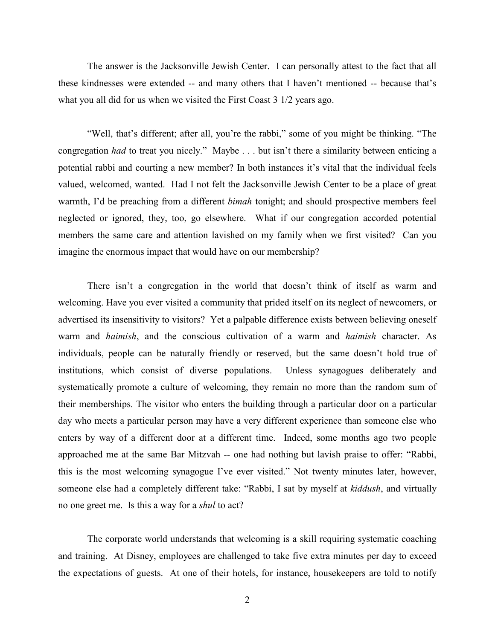The answer is the Jacksonville Jewish Center. I can personally attest to the fact that all these kindnesses were extended -- and many others that I haven't mentioned -- because that's what you all did for us when we visited the First Coast 3 1/2 years ago.

"Well, that's different; after all, you're the rabbi," some of you might be thinking. "The congregation *had* to treat you nicely." Maybe . . . but isn't there a similarity between enticing a potential rabbi and courting a new member? In both instances it's vital that the individual feels valued, welcomed, wanted. Had I not felt the Jacksonville Jewish Center to be a place of great warmth, I'd be preaching from a different *bimah* tonight; and should prospective members feel neglected or ignored, they, too, go elsewhere. What if our congregation accorded potential members the same care and attention lavished on my family when we first visited? Can you imagine the enormous impact that would have on our membership?

There isn't a congregation in the world that doesn't think of itself as warm and welcoming. Have you ever visited a community that prided itself on its neglect of newcomers, or advertised its insensitivity to visitors? Yet a palpable difference exists between believing oneself warm and *haimish*, and the conscious cultivation of a warm and *haimish* character. As individuals, people can be naturally friendly or reserved, but the same doesn't hold true of institutions, which consist of diverse populations. Unless synagogues deliberately and systematically promote a culture of welcoming, they remain no more than the random sum of their memberships. The visitor who enters the building through a particular door on a particular day who meets a particular person may have a very different experience than someone else who enters by way of a different door at a different time. Indeed, some months ago two people approached me at the same Bar Mitzvah -- one had nothing but lavish praise to offer: "Rabbi, this is the most welcoming synagogue I've ever visited." Not twenty minutes later, however, someone else had a completely different take: "Rabbi, I sat by myself at *kiddush*, and virtually no one greet me. Is this a way for a *shul* to act?

The corporate world understands that welcoming is a skill requiring systematic coaching and training. At Disney, employees are challenged to take five extra minutes per day to exceed the expectations of guests. At one of their hotels, for instance, housekeepers are told to notify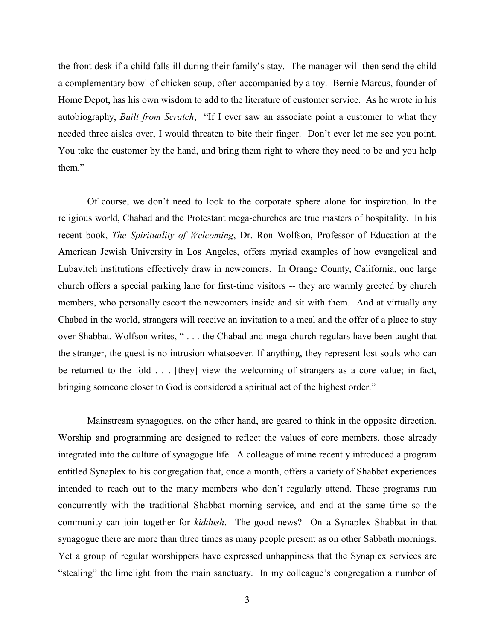the front desk if a child falls ill during their family's stay. The manager will then send the child a complementary bowl of chicken soup, often accompanied by a toy. Bernie Marcus, founder of Home Depot, has his own wisdom to add to the literature of customer service. As he wrote in his autobiography, *Built from Scratch*, "If I ever saw an associate point a customer to what they needed three aisles over, I would threaten to bite their finger. Don't ever let me see you point. You take the customer by the hand, and bring them right to where they need to be and you help them."

Of course, we don't need to look to the corporate sphere alone for inspiration. In the religious world, Chabad and the Protestant mega-churches are true masters of hospitality. In his recent book, *The Spirituality of Welcoming*, Dr. Ron Wolfson, Professor of Education at the American Jewish University in Los Angeles, offers myriad examples of how evangelical and Lubavitch institutions effectively draw in newcomers. In Orange County, California, one large church offers a special parking lane for first-time visitors -- they are warmly greeted by church members, who personally escort the newcomers inside and sit with them. And at virtually any Chabad in the world, strangers will receive an invitation to a meal and the offer of a place to stay over Shabbat. Wolfson writes, " . . . the Chabad and mega-church regulars have been taught that the stranger, the guest is no intrusion whatsoever. If anything, they represent lost souls who can be returned to the fold . . . [they] view the welcoming of strangers as a core value; in fact, bringing someone closer to God is considered a spiritual act of the highest order."

Mainstream synagogues, on the other hand, are geared to think in the opposite direction. Worship and programming are designed to reflect the values of core members, those already integrated into the culture of synagogue life. A colleague of mine recently introduced a program entitled Synaplex to his congregation that, once a month, offers a variety of Shabbat experiences intended to reach out to the many members who don't regularly attend. These programs run concurrently with the traditional Shabbat morning service, and end at the same time so the community can join together for *kiddush*. The good news? On a Synaplex Shabbat in that synagogue there are more than three times as many people present as on other Sabbath mornings. Yet a group of regular worshippers have expressed unhappiness that the Synaplex services are "stealing" the limelight from the main sanctuary. In my colleague's congregation a number of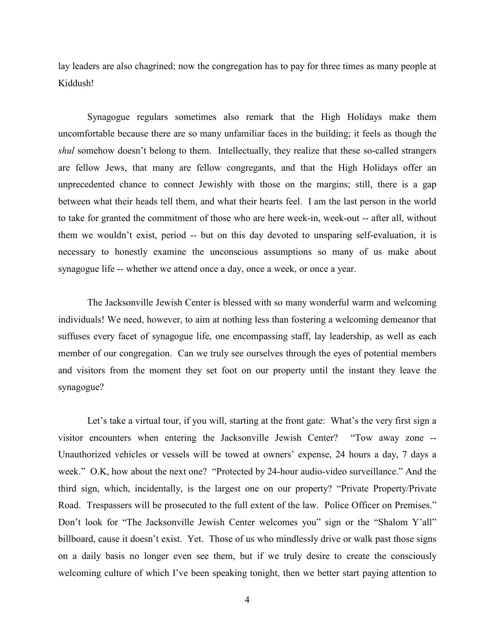lay leaders are also chagrined; now the congregation has to pay for three times as many people at Kiddush!

Synagogue regulars sometimes also remark that the High Holidays make them uncomfortable because there are so many unfamiliar faces in the building; it feels as though the *shul* somehow doesn't belong to them. Intellectually, they realize that these so-called strangers are fellow Jews, that many are fellow congregants, and that the High Holidays offer an unprecedented chance to connect Jewishly with those on the margins; still, there is a gap between what their heads tell them, and what their hearts feel. I am the last person in the world to take for granted the commitment of those who are here week-in, week-out -- after all, without them we wouldn't exist, period -- but on this day devoted to unsparing self-evaluation, it is necessary to honestly examine the unconscious assumptions so many of us make about synagogue life -- whether we attend once a day, once a week, or once a year.

The Jacksonville Jewish Center is blessed with so many wonderful warm and welcoming individuals! We need, however, to aim at nothing less than fostering a welcoming demeanor that suffuses every facet of synagogue life, one encompassing staff, lay leadership, as well as each member of our congregation. Can we truly see ourselves through the eyes of potential members and visitors from the moment they set foot on our property until the instant they leave the synagogue?

Let's take a virtual tour, if you will, starting at the front gate: What's the very first sign a visitor encounters when entering the Jacksonville Jewish Center? "Tow away zone -- Unauthorized vehicles or vessels will be towed at owners' expense, 24 hours a day, 7 days a week." O.K, how about the next one? "Protected by 24-hour audio-video surveillance." And the third sign, which, incidentally, is the largest one on our property? "Private Property/Private Road. Trespassers will be prosecuted to the full extent of the law. Police Officer on Premises." Don't look for "The Jacksonville Jewish Center welcomes you" sign or the "Shalom Y'all" billboard, cause it doesn't exist. Yet. Those of us who mindlessly drive or walk past those signs on a daily basis no longer even see them, but if we truly desire to create the consciously welcoming culture of which I've been speaking tonight, then we better start paying attention to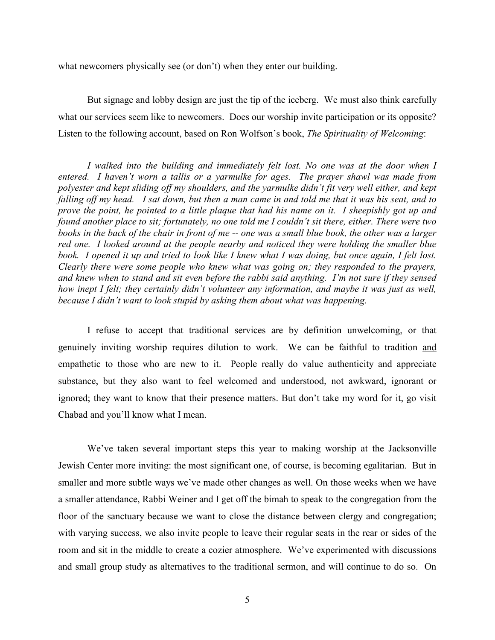what newcomers physically see (or don't) when they enter our building.

But signage and lobby design are just the tip of the iceberg. We must also think carefully what our services seem like to newcomers. Does our worship invite participation or its opposite? Listen to the following account, based on Ron Wolfson's book, *The Spirituality of Welcoming*:

*I walked into the building and immediately felt lost. No one was at the door when I entered. I haven't worn a tallis or a yarmulke for ages. The prayer shawl was made from polyester and kept sliding off my shoulders, and the yarmulke didn't fit very well either, and kept falling off my head. I sat down, but then a man came in and told me that it was his seat, and to prove the point, he pointed to a little plaque that had his name on it. I sheepishly got up and found another place to sit; fortunately, no one told me I couldn't sit there, either. There were two books in the back of the chair in front of me -- one was a small blue book, the other was a larger red one. I looked around at the people nearby and noticed they were holding the smaller blue book. I opened it up and tried to look like I knew what I was doing, but once again, I felt lost. Clearly there were some people who knew what was going on; they responded to the prayers, and knew when to stand and sit even before the rabbi said anything. I'm not sure if they sensed how inept I felt; they certainly didn't volunteer any information, and maybe it was just as well, because I didn't want to look stupid by asking them about what was happening.*

I refuse to accept that traditional services are by definition unwelcoming, or that genuinely inviting worship requires dilution to work. We can be faithful to tradition and empathetic to those who are new to it. People really do value authenticity and appreciate substance, but they also want to feel welcomed and understood, not awkward, ignorant or ignored; they want to know that their presence matters. But don't take my word for it, go visit Chabad and you'll know what I mean.

We've taken several important steps this year to making worship at the Jacksonville Jewish Center more inviting: the most significant one, of course, is becoming egalitarian. But in smaller and more subtle ways we've made other changes as well. On those weeks when we have a smaller attendance, Rabbi Weiner and I get off the bimah to speak to the congregation from the floor of the sanctuary because we want to close the distance between clergy and congregation; with varying success, we also invite people to leave their regular seats in the rear or sides of the room and sit in the middle to create a cozier atmosphere. We've experimented with discussions and small group study as alternatives to the traditional sermon, and will continue to do so. On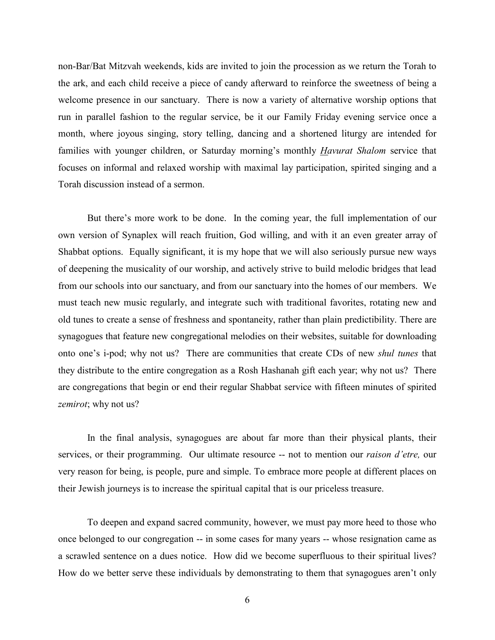non-Bar/Bat Mitzvah weekends, kids are invited to join the procession as we return the Torah to the ark, and each child receive a piece of candy afterward to reinforce the sweetness of being a welcome presence in our sanctuary. There is now a variety of alternative worship options that run in parallel fashion to the regular service, be it our Family Friday evening service once a month, where joyous singing, story telling, dancing and a shortened liturgy are intended for families with younger children, or Saturday morning's monthly *Havurat Shalom* service that focuses on informal and relaxed worship with maximal lay participation, spirited singing and a Torah discussion instead of a sermon.

But there's more work to be done. In the coming year, the full implementation of our own version of Synaplex will reach fruition, God willing, and with it an even greater array of Shabbat options. Equally significant, it is my hope that we will also seriously pursue new ways of deepening the musicality of our worship, and actively strive to build melodic bridges that lead from our schools into our sanctuary, and from our sanctuary into the homes of our members. We must teach new music regularly, and integrate such with traditional favorites, rotating new and old tunes to create a sense of freshness and spontaneity, rather than plain predictibility. There are synagogues that feature new congregational melodies on their websites, suitable for downloading onto one's i-pod; why not us? There are communities that create CDs of new *shul tunes* that they distribute to the entire congregation as a Rosh Hashanah gift each year; why not us? There are congregations that begin or end their regular Shabbat service with fifteen minutes of spirited *zemirot*; why not us?

In the final analysis, synagogues are about far more than their physical plants, their services, or their programming. Our ultimate resource -- not to mention our *raison d'etre,* our very reason for being, is people, pure and simple. To embrace more people at different places on their Jewish journeys is to increase the spiritual capital that is our priceless treasure.

To deepen and expand sacred community, however, we must pay more heed to those who once belonged to our congregation -- in some cases for many years -- whose resignation came as a scrawled sentence on a dues notice. How did we become superfluous to their spiritual lives? How do we better serve these individuals by demonstrating to them that synagogues aren't only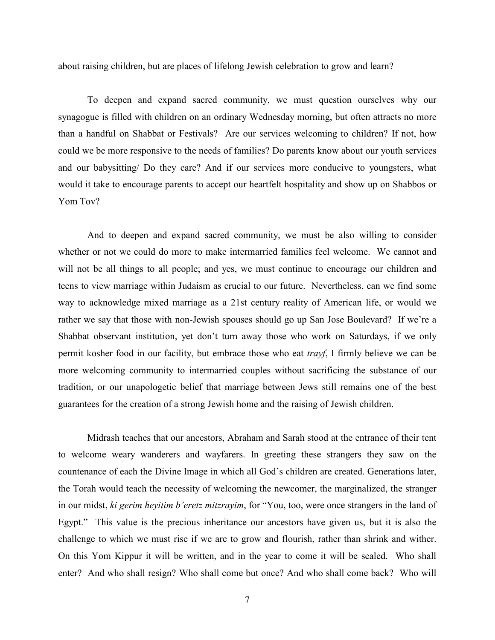about raising children, but are places of lifelong Jewish celebration to grow and learn?

To deepen and expand sacred community, we must question ourselves why our synagogue is filled with children on an ordinary Wednesday morning, but often attracts no more than a handful on Shabbat or Festivals? Are our services welcoming to children? If not, how could we be more responsive to the needs of families? Do parents know about our youth services and our babysitting/ Do they care? And if our services more conducive to youngsters, what would it take to encourage parents to accept our heartfelt hospitality and show up on Shabbos or Yom Tov?

And to deepen and expand sacred community, we must be also willing to consider whether or not we could do more to make intermarried families feel welcome. We cannot and will not be all things to all people; and yes, we must continue to encourage our children and teens to view marriage within Judaism as crucial to our future. Nevertheless, can we find some way to acknowledge mixed marriage as a 21st century reality of American life, or would we rather we say that those with non-Jewish spouses should go up San Jose Boulevard? If we're a Shabbat observant institution, yet don't turn away those who work on Saturdays, if we only permit kosher food in our facility, but embrace those who eat *trayf*, I firmly believe we can be more welcoming community to intermarried couples without sacrificing the substance of our tradition, or our unapologetic belief that marriage between Jews still remains one of the best guarantees for the creation of a strong Jewish home and the raising of Jewish children.

Midrash teaches that our ancestors, Abraham and Sarah stood at the entrance of their tent to welcome weary wanderers and wayfarers. In greeting these strangers they saw on the countenance of each the Divine Image in which all God's children are created. Generations later, the Torah would teach the necessity of welcoming the newcomer, the marginalized, the stranger in our midst, *ki gerim heyitim b'eretz mitzrayim*, for "You, too, were once strangers in the land of Egypt." This value is the precious inheritance our ancestors have given us, but it is also the challenge to which we must rise if we are to grow and flourish, rather than shrink and wither. On this Yom Kippur it will be written, and in the year to come it will be sealed. Who shall enter? And who shall resign? Who shall come but once? And who shall come back? Who will